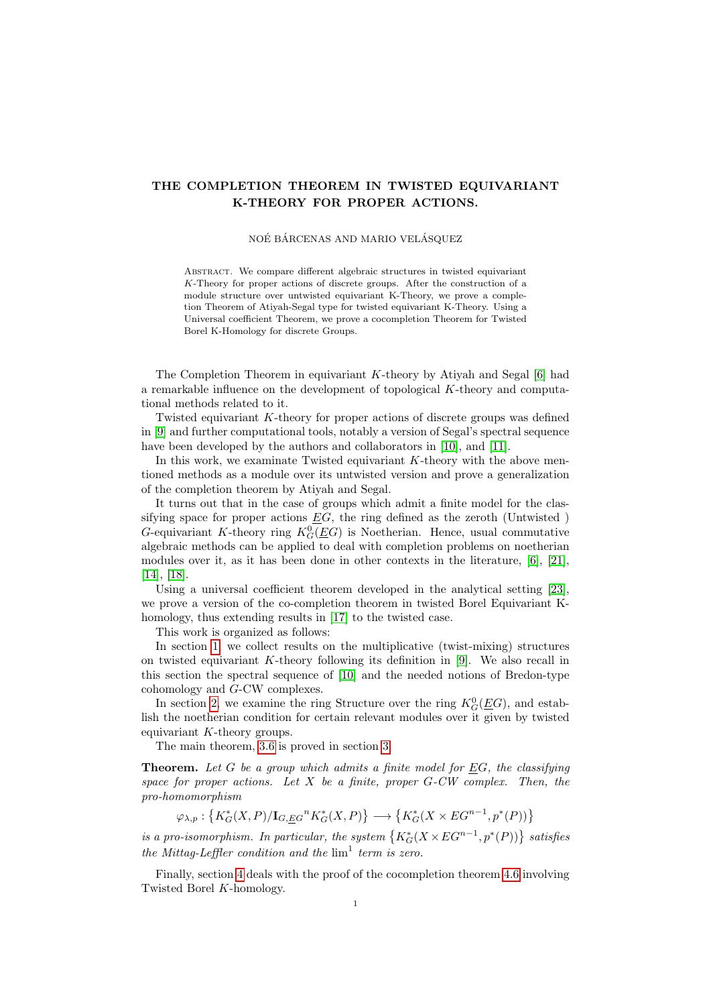# THE COMPLETION THEOREM IN TWISTED EQUIVARIANT K-THEORY FOR PROPER ACTIONS.

#### NOÉ BÁRCENAS AND MARIO VELÁSQUEZ

ABSTRACT. We compare different algebraic structures in twisted equivariant K-Theory for proper actions of discrete groups. After the construction of a module structure over untwisted equivariant K-Theory, we prove a completion Theorem of Atiyah-Segal type for twisted equivariant K-Theory. Using a Universal coefficient Theorem, we prove a cocompletion Theorem for Twisted Borel K-Homology for discrete Groups.

The Completion Theorem in equivariant K-theory by Ativah and Segal  $[6]$  had a remarkable influence on the development of topological K-theory and computational methods related to it.

Twisted equivariant K-theory for proper actions of discrete groups was defined in [\[9\]](#page-14-1) and further computational tools, notably a version of Segal's spectral sequence have been developed by the authors and collaborators in [\[10\]](#page-14-2), and [\[11\]](#page-14-3).

In this work, we examinate Twisted equivariant  $K$ -theory with the above mentioned methods as a module over its untwisted version and prove a generalization of the completion theorem by Atiyah and Segal.

It turns out that in the case of groups which admit a finite model for the classifying space for proper actions  $EG$ , the ring defined as the zeroth (Untwisted) G-equivariant K-theory ring  $K_G^0(\underline{E}G)$  is Noetherian. Hence, usual commutative algebraic methods can be applied to deal with completion problems on noetherian modules over it, as it has been done in other contexts in the literature, [\[6\]](#page-14-0), [\[21\]](#page-15-0), [\[14\]](#page-14-4), [\[18\]](#page-15-1).

Using a universal coefficient theorem developed in the analytical setting [\[23\]](#page-15-2), we prove a version of the co-completion theorem in twisted Borel Equivariant Khomology, thus extending results in [\[17\]](#page-14-5) to the twisted case.

This work is organized as follows:

In section [1,](#page-2-0) we collect results on the multiplicative (twist-mixing) structures on twisted equivariant K-theory following its definition in  $[9]$ . We also recall in this section the spectral sequence of [\[10\]](#page-14-2) and the needed notions of Bredon-type cohomology and G-CW complexes.

In section [2,](#page-9-0) we examine the ring Structure over the ring  $K_G^0(\underline{E}G)$ , and establish the noetherian condition for certain relevant modules over it given by twisted equivariant K-theory groups.

The main theorem, [3.6](#page-11-0) is proved in section [3.](#page-10-0)

**Theorem.** Let G be a group which admits a finite model for  $EG$ , the classifying space for proper actions. Let  $X$  be a finite, proper  $G-CW$  complex. Then, the pro-homomorphism

$$
\varphi_{\lambda,p}: \left\{ K_G^*(X,P)/\mathbf{I}_{G,\underline{E}G}^n K_G^*(X,P) \right\} \longrightarrow \left\{ K_G^*(X \times EG^{n-1},p^*(P)) \right\}
$$

is a pro-isomorphism. In particular, the system  $\{K_G^*(X \times EG^{n-1}, p^*(P))\}$  satisfies the Mittag-Leffler condition and the  $\lim^1$  term is zero.

Finally, section [4](#page-12-0) deals with the proof of the cocompletion theorem [4.6](#page-13-0) involving Twisted Borel K-homology.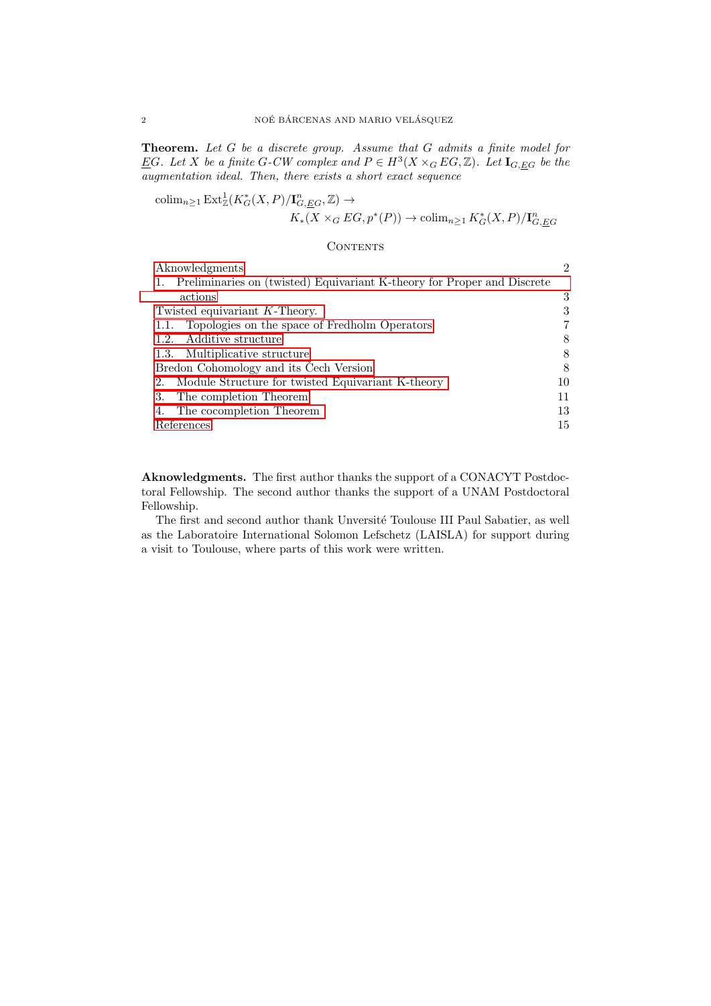Theorem. Let G be a discrete group. Assume that G admits a finite model for EG. Let X be a finite G-CW complex and  $P \in H^3(X \times_G EG, \mathbb{Z})$ . Let  $I_{G, \underline{EG}}$  be the augmentation ideal. Then, there exists a short exact sequence

$$
\operatorname{colim}_{n\geq 1} \operatorname{Ext}_{\mathbb{Z}}^1(K_G^*(X, P)/\mathbf{I}_{G, \underline{E}G}^n, \mathbb{Z}) \to
$$
  

$$
K_*(X \times_G EG, p^*(P)) \to \operatorname{colim}_{n\geq 1} K_G^*(X, P)/\mathbf{I}_{G, \underline{E}G}^n
$$

#### **CONTENTS**

| $\mathcal{D}_{\mathcal{L}}$ |
|-----------------------------|
|                             |
| 3                           |
| 3                           |
| 7                           |
| 8                           |
| 8                           |
| 8                           |
| 10                          |
| 11                          |
| 13                          |
| 15                          |
|                             |

<span id="page-1-0"></span>Aknowledgments. The first author thanks the support of a CONACYT Postdoctoral Fellowship. The second author thanks the support of a UNAM Postdoctoral Fellowship.

The first and second author thank Unversité Toulouse III Paul Sabatier, as well as the Laboratoire International Solomon Lefschetz (LAISLA) for support during a visit to Toulouse, where parts of this work were written.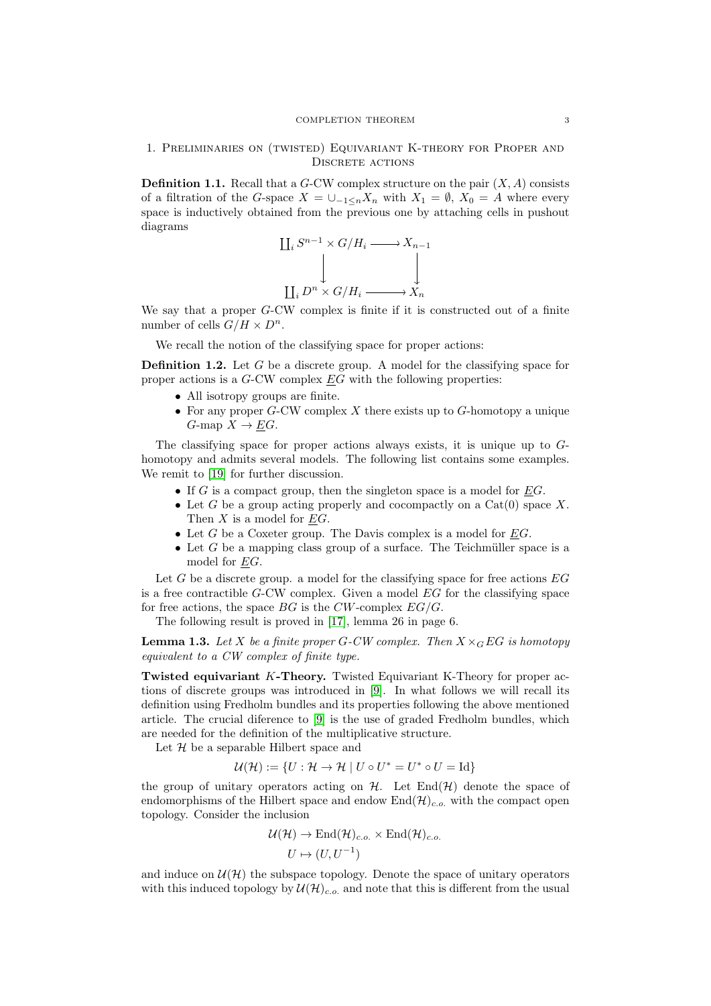## <span id="page-2-0"></span>1. Preliminaries on (twisted) Equivariant K-theory for Proper and DISCRETE ACTIONS

**Definition 1.1.** Recall that a  $G$ -CW complex structure on the pair  $(X, A)$  consists of a filtration of the G-space  $X = \bigcup_{-1 \leq n} X_n$  with  $X_1 = \emptyset$ ,  $X_0 = A$  where every space is inductively obtained from the previous one by attaching cells in pushout diagrams

$$
\coprod_{i} S^{n-1} \times G/H_i \longrightarrow X_{n-1}
$$

$$
\downarrow \qquad \qquad \downarrow
$$

$$
\coprod_{i} D^n \times G/H_i \longrightarrow X_n
$$

We say that a proper G-CW complex is finite if it is constructed out of a finite number of cells  $G/H \times D^n$ .

We recall the notion of the classifying space for proper actions:

**Definition 1.2.** Let G be a discrete group. A model for the classifying space for proper actions is a G-CW complex EG with the following properties:

- All isotropy groups are finite.
- For any proper  $G$ -CW complex  $X$  there exists up to  $G$ -homotopy a unique  $G$ -map  $X \to \underline{E}G$ .

The classifying space for proper actions always exists, it is unique up to Ghomotopy and admits several models. The following list contains some examples. We remit to [\[19\]](#page-15-3) for further discussion.

- If  $G$  is a compact group, then the singleton space is a model for  $\underline{E}G$ .
- Let G be a group acting properly and cocompactly on a  $Cat(0)$  space X. Then X is a model for EG.
- Let  $G$  be a Coxeter group. The Davis complex is a model for  $EG$ .
- Let  $G$  be a mapping class group of a surface. The Teichmüller space is a model for EG.

Let  $G$  be a discrete group. a model for the classifying space for free actions  $EG$ is a free contractible  $G$ -CW complex. Given a model  $EG$  for the classifying space for free actions, the space  $BG$  is the  $CW$ -complex  $EG/G$ .

The following result is proved in [\[17\]](#page-14-5), lemma 26 in page 6.

**Lemma 1.3.** Let X be a finite proper G-CW complex. Then  $X \times_G EG$  is homotopy equivalent to a CW complex of finite type.

<span id="page-2-1"></span>Twisted equivariant K-Theory. Twisted Equivariant K-Theory for proper actions of discrete groups was introduced in [\[9\]](#page-14-1). In what follows we will recall its definition using Fredholm bundles and its properties following the above mentioned article. The crucial diference to [\[9\]](#page-14-1) is the use of graded Fredholm bundles, which are needed for the definition of the multiplicative structure.

Let  $H$  be a separable Hilbert space and

$$
\mathcal{U}(\mathcal{H}) := \{ U : \mathcal{H} \to \mathcal{H} \mid U \circ U^* = U^* \circ U = \text{Id} \}
$$

the group of unitary operators acting on  $H$ . Let  $\text{End}(\mathcal{H})$  denote the space of endomorphisms of the Hilbert space and endow  $\text{End}(\mathcal{H})_{c.o.}$  with the compact open topology. Consider the inclusion

$$
\mathcal{U}(\mathcal{H}) \to \text{End}(\mathcal{H})_{c.o.} \times \text{End}(\mathcal{H})_{c.o.}
$$

$$
U \mapsto (U, U^{-1})
$$

and induce on  $\mathcal{U}(\mathcal{H})$  the subspace topology. Denote the space of unitary operators with this induced topology by  $\mathcal{U}(\mathcal{H})_{c.o.}$  and note that this is different from the usual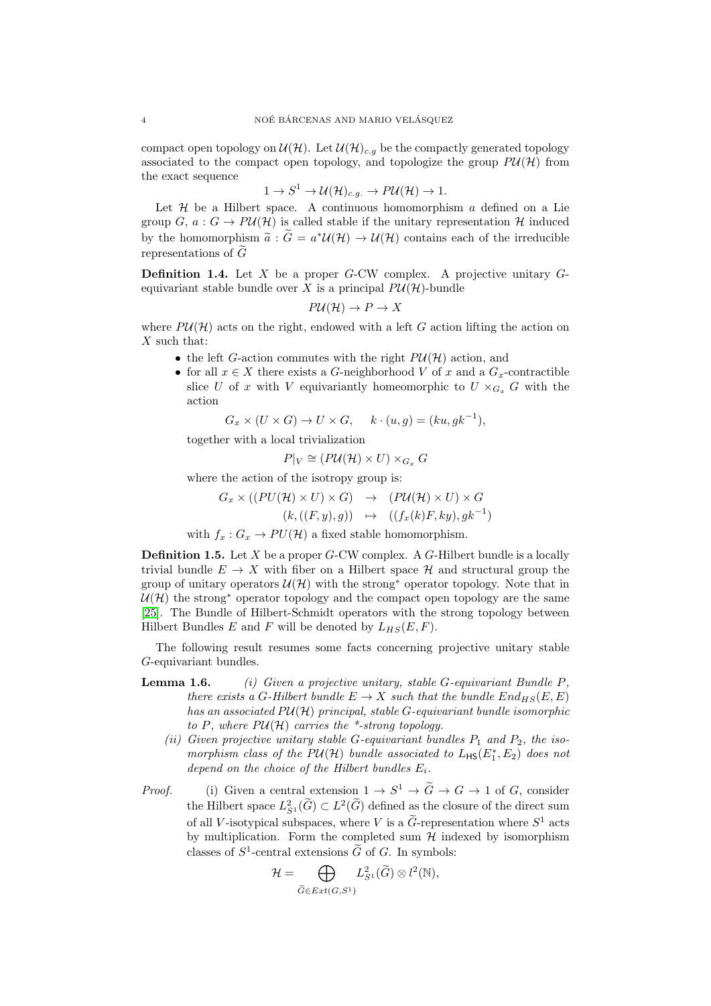compact open topology on  $\mathcal{U}(\mathcal{H})$ . Let  $\mathcal{U}(\mathcal{H})_{c.g}$  be the compactly generated topology associated to the compact open topology, and topologize the group  $P\mathcal{U}(\mathcal{H})$  from the exact sequence

$$
1 \to S^1 \to \mathcal{U}(\mathcal{H})_{c.g.} \to P\mathcal{U}(\mathcal{H}) \to 1.
$$

Let  $H$  be a Hilbert space. A continuous homomorphism  $a$  defined on a Lie group  $G, a: G \to PU(\mathcal{H})$  is called stable if the unitary representation  $\mathcal{H}$  induced by the homomorphism  $\tilde{a}$  :  $\tilde{G} = a^* \mathcal{U}(\mathcal{H}) \to \mathcal{U}(\mathcal{H})$  contains each of the irreducible nonpresentations of  $\tilde{G}$ representations of  $\widetilde{G}$ 

**Definition 1.4.** Let  $X$  be a proper  $G$ -CW complex. A projective unitary  $G$ equivariant stable bundle over X is a principal  $P\mathcal{U}(\mathcal{H})$ -bundle

$$
P\mathcal{U}(\mathcal{H}) \to P \to X
$$

where  $PU(\mathcal{H})$  acts on the right, endowed with a left G action lifting the action on  $X$  such that:

- the left G-action commutes with the right  $P\mathcal{U}(\mathcal{H})$  action, and
- for all  $x \in X$  there exists a G-neighborhood V of x and a  $G_x$ -contractible slice U of x with V equivariantly homeomorphic to  $U \times_{G_x} G$  with the action

$$
G_x \times (U \times G) \to U \times G, \quad k \cdot (u, g) = (ku, gk^{-1}),
$$

together with a local trivialization

$$
P|_V \cong (P\mathcal{U}(\mathcal{H}) \times U) \times_{G_x} G
$$

where the action of the isotropy group is:

$$
G_x \times ((PU(\mathcal{H}) \times U) \times G) \rightarrow (PU(\mathcal{H}) \times U) \times G
$$
  

$$
(k, ((F, y), g)) \mapsto ((f_x(k)F, ky), gk^{-1})
$$

with  $f_x: G_x \to PU(\mathcal{H})$  a fixed stable homomorphism.

**Definition 1.5.** Let  $X$  be a proper  $G$ -CW complex. A  $G$ -Hilbert bundle is a locally trivial bundle  $E \to X$  with fiber on a Hilbert space  $\mathcal{H}$  and structural group the group of unitary operators  $\mathcal{U}(\mathcal{H})$  with the strong<sup>∗</sup> operator topology. Note that in  $U(\mathcal{H})$  the strong<sup>\*</sup> operator topology and the compact open topology are the same [\[25\]](#page-15-4). The Bundle of Hilbert-Schmidt operators with the strong topology between Hilbert Bundles E and F will be denoted by  $L_{HS}(E, F)$ .

The following result resumes some facts concerning projective unitary stable G-equivariant bundles.

- **Lemma 1.6.** (i) Given a projective unitary, stable G-equivariant Bundle  $P$ , there exists a G-Hilbert bundle  $E \to X$  such that the bundle  $End_{HS}(E, E)$ has an associated  $PU(H)$  principal, stable G-equivariant bundle isomorphic to P, where  $PU(H)$  carries the \*-strong topology.
	- (ii) Given projective unitary stable G-equivariant bundles  $P_1$  and  $P_2$ , the isomorphism class of the PU(H) bundle associated to  $L_{\text{HS}}(E_1^*, E_2)$  does not depend on the choice of the Hilbert bundles  $E_i$ .
- *Proof.* (i) Given a central extension  $1 \to S^1 \to \tilde{G} \to G \to 1$  of G, consider the Hilbert space  $L^2_{S^1}(\widetilde{G}) \subset L^2(\widetilde{G})$  defined as the closure of the direct sum of all V-isotypical subspaces, where V is a  $\tilde{G}$ -representation where  $S^1$  acts by multiplication. Form the completed sum  $H$  indexed by isomorphism classes of  $S^1$ -central extensions  $\tilde{G}$  of  $G$ . In symbols:

$$
\mathcal{H} = \bigoplus_{\widetilde{G} \in Ext(G,S^1)} L^2_{S^1}(\widetilde{G}) \otimes l^2(\mathbb{N}),
$$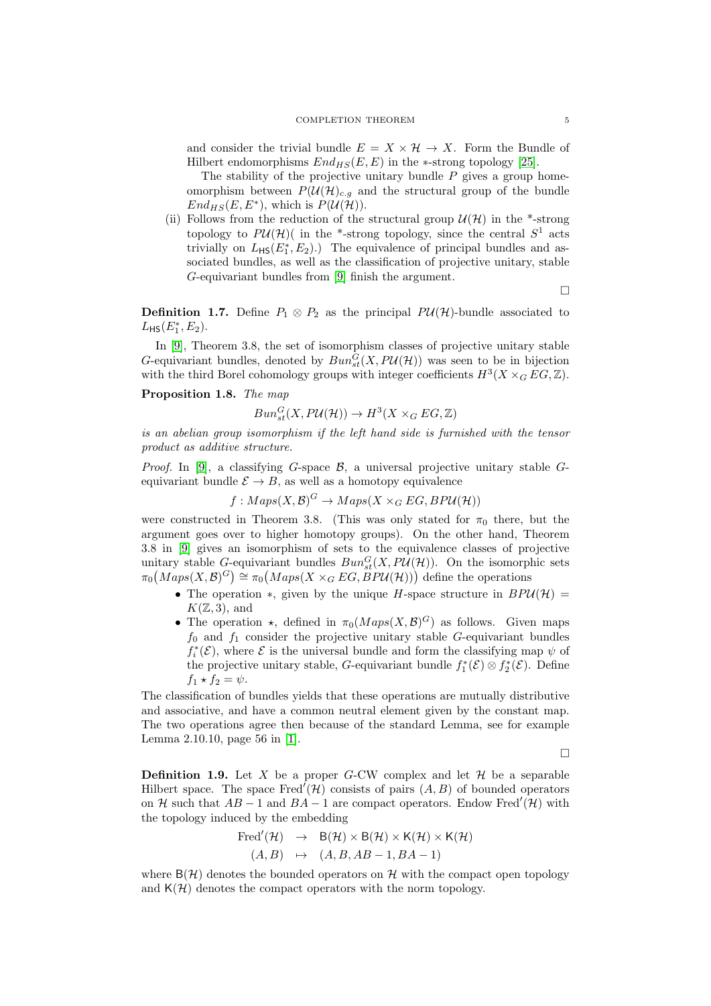and consider the trivial bundle  $E = X \times \mathcal{H} \rightarrow X$ . Form the Bundle of Hilbert endomorphisms  $End_{HS}(E, E)$  in the ∗-strong topology [\[25\]](#page-15-4).

The stability of the projective unitary bundle  $P$  gives a group homeomorphism between  $P(\mathcal{U}(\mathcal{H})_{c,q}$  and the structural group of the bundle  $End_{HS}(E, E^*)$ , which is  $P(\mathcal{U}(\mathcal{H}))$ .

(ii) Follows from the reduction of the structural group  $\mathcal{U}(\mathcal{H})$  in the \*-strong topology to  $P\mathcal{U}(\mathcal{H})$  (in the \*-strong topology, since the central  $S^1$  acts trivially on  $L_{\text{HS}}(E_1^*, E_2)$ .) The equivalence of principal bundles and associated bundles, as well as the classification of projective unitary, stable G-equivariant bundles from [\[9\]](#page-14-1) finish the argument.

 $\Box$ 

**Definition 1.7.** Define  $P_1 \otimes P_2$  as the principal  $P\mathcal{U}(\mathcal{H})$ -bundle associated to  $L_{\sf HS}(E_1^*,E_2).$ 

In [\[9\]](#page-14-1), Theorem 3.8, the set of isomorphism classes of projective unitary stable G-equivariant bundles, denoted by  $Bun_{st}^G(X, P\mathcal{U}(\mathcal{H}))$  was seen to be in bijection with the third Borel cohomology groups with integer coefficients  $H^3(X \times_G EG, \mathbb{Z})$ .

#### Proposition 1.8. The map

$$
Bun_{st}^{G}(X, P\mathcal{U}(\mathcal{H})) \to H^{3}(X \times_{G} EG, \mathbb{Z})
$$

is an abelian group isomorphism if the left hand side is furnished with the tensor product as additive structure.

*Proof.* In [\[9\]](#page-14-1), a classifying G-space  $\mathcal{B}$ , a universal projective unitary stable Gequivariant bundle  $\mathcal{E} \to B$ , as well as a homotopy equivalence

$$
f: Maps(X, \mathcal{B})^G \rightarrow Maps(X \times_G EG, BPU(\mathcal{H}))
$$

were constructed in Theorem 3.8. (This was only stated for  $\pi_0$  there, but the argument goes over to higher homotopy groups). On the other hand, Theorem 3.8 in [\[9\]](#page-14-1) gives an isomorphism of sets to the equivalence classes of projective unitary stable G-equivariant bundles  $Bun_{st}^G(X, P\mathcal{U}(\mathcal{H}))$ . On the isomorphic sets  $\pi_0(Maps(X, B)^G) \cong \pi_0(Maps(X \times_G EG, \overset{\circ}{B}PU(H)))$  define the operations

- The operation  $*$ , given by the unique H-space structure in  $BPU(\mathcal{H}) =$  $K(\mathbb{Z},3)$ , and
- The operation  $\star$ , defined in  $\pi_0(Maps(X, \mathcal{B})^G)$  as follows. Given maps  $f_0$  and  $f_1$  consider the projective unitary stable G-equivariant bundles  $f_i^*(\mathcal{E}),$  where  $\mathcal E$  is the universal bundle and form the classifying map  $\psi$  of the projective unitary stable, G-equivariant bundle  $f_1^*(\mathcal{E}) \otimes f_2^*(\mathcal{E})$ . Define  $f_1 \star f_2 = \psi.$

The classification of bundles yields that these operations are mutually distributive and associative, and have a common neutral element given by the constant map. The two operations agree then because of the standard Lemma, see for example Lemma 2.10.10, page 56 in [\[1\]](#page-14-6).

 $\Box$ 

**Definition 1.9.** Let X be a proper G-CW complex and let  $H$  be a separable Hilbert space. The space Fred<sup> $\ell$ </sup> $(\mathcal{H})$  consists of pairs  $(A, B)$  of bounded operators on H such that  $AB - 1$  and  $BA - 1$  are compact operators. Endow Fred<sup>'</sup>(H) with the topology induced by the embedding

Fred'(
$$
(\mathcal{H}) \rightarrow B(\mathcal{H}) \times B(\mathcal{H}) \times K(\mathcal{H}) \times K(\mathcal{H})
$$
  
\n $(A, B) \rightarrow (A, B, AB - 1, BA - 1)$ 

where  $B(\mathcal{H})$  denotes the bounded operators on H with the compact open topology and  $K(\mathcal{H})$  denotes the compact operators with the norm topology.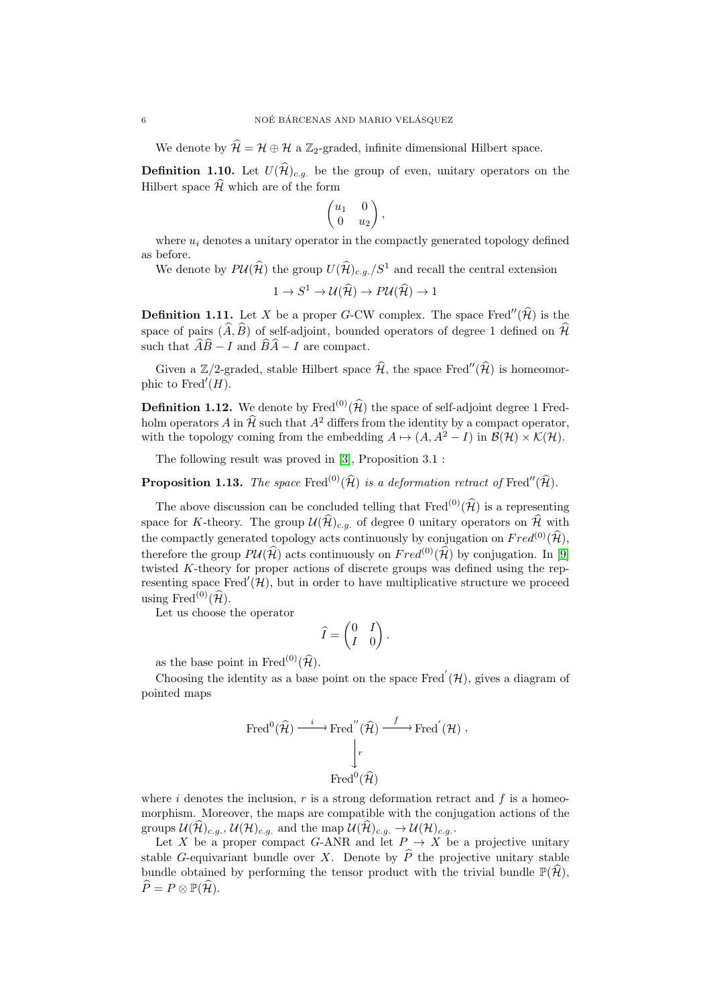We denote by  $\mathcal{H} = \mathcal{H} \oplus \mathcal{H}$  a Z<sub>2</sub>-graded, infinite dimensional Hilbert space.

**Definition 1.10.** Let  $U(\widehat{\mathcal{H}})_{c.g.}$  be the group of even, unitary operators on the Hilbert space  $\widehat{\mathcal{H}}$  which are of the form

$$
\begin{pmatrix} u_1 & 0 \\ 0 & u_2 \end{pmatrix},
$$

where  $u_i$  denotes a unitary operator in the compactly generated topology defined as before.

We denote by  $P\mathcal{U}(\widehat{\mathcal{H}})$  the group  $U(\widehat{\mathcal{H}})_{c.g.}/S^1$  and recall the central extension

$$
1 \to S^1 \to \mathcal{U}(\widehat{\mathcal{H}}) \to P\mathcal{U}(\widehat{\mathcal{H}}) \to 1
$$

**Definition 1.11.** Let X be a proper G-CW complex. The space Fred" $(\hat{\mathcal{H}})$  is the space of pairs  $(\widehat{A}, \widehat{B})$  of self-adjoint, bounded operators of degree 1 defined on  $\widehat{\mathcal{H}}$ such that  $\widehat{A}\widehat{B} - I$  and  $\widehat{B}\widehat{A} - I$  are compact.

Given a Z/2-graded, stable Hilbert space  $\widehat{\mathcal{H}}$ , the space Fred" $(\widehat{\mathcal{H}})$  is homeomorphic to Fred $'(H)$ .

**Definition 1.12.** We denote by Fred<sup>(0)</sup>( $\hat{\mathcal{H}}$ ) the space of self-adjoint degree 1 Fredholm operators A in  $\widehat{\mathcal{H}}$  such that  $A^2$  differs from the identity by a compact operator, with the topology coming from the embedding  $A \mapsto (A, A^2 - I)$  in  $\mathcal{B}(\mathcal{H}) \times \mathcal{K}(\mathcal{H})$ .

The following result was proved in [\[3\]](#page-14-7), Proposition 3.1 :

**Proposition 1.13.** The space Fred<sup>(0)</sup>( $\hat{\mathcal{H}}$ ) is a deformation retract of Fred''( $\hat{\mathcal{H}}$ ).

The above discussion can be concluded telling that  $\text{Fred}^{(0)}(\widehat{\mathcal{H}})$  is a representing space for K-theory. The group  $\mathcal{U}(\widehat{\mathcal{H}})_{c,q}$  of degree 0 unitary operators on  $\widehat{\mathcal{H}}$  with the compactly generated topology acts continuously by conjugation on  $Fred^{(0)}(\widehat{\mathcal{H}})$ , therefore the group  $P\mathcal{U}(\hat{\mathcal{H}})$  acts continuously on  $Fred^{(0)}(\hat{\mathcal{H}})$  by conjugation. In [\[9\]](#page-14-1) twisted K-theory for proper actions of discrete groups was defined using the representing space  $Fred'(\mathcal{H})$ , but in order to have multiplicative structure we proceed using Fred<sup>(0)</sup>( $\widehat{\mathcal{H}}$ ).

Let us choose the operator

$$
\widehat{I} = \begin{pmatrix} 0 & I \\ I & 0 \end{pmatrix}.
$$

as the base point in Fred<sup>(0)</sup>( $\widehat{\mathcal{H}}$ ).

Choosing the identity as a base point on the space Fred<sup>'</sup> $(\mathcal{H})$ , gives a diagram of pointed maps

$$
\text{Fred}^0(\widehat{\mathcal{H}}) \xrightarrow{i} \text{Fred}''(\widehat{\mathcal{H}}) \xrightarrow{f} \text{Fred}'(\mathcal{H}) ,
$$

$$
\downarrow \qquad \qquad \downarrow \qquad \qquad \text{Fred}^0(\widehat{\mathcal{H}})
$$

$$
\text{Fred}^0(\widehat{\mathcal{H}})
$$

where i denotes the inclusion,  $r$  is a strong deformation retract and  $f$  is a homeomorphism. Moreover, the maps are compatible with the conjugation actions of the groups  $\mathcal{U}(\widehat{\mathcal{H}})_{c.g.}, \mathcal{U}(\mathcal{H})_{c.g.}$  and the map  $\mathcal{U}(\widehat{\mathcal{H}})_{c.g.} \to \mathcal{U}(\mathcal{H})_{c.g.}$ .

Let X be a proper compact G-ANR and let  $P \to X$  be a projective unitary stable G-equivariant bundle over X. Denote by  $\hat{P}$  the projective unitary stable bundle obtained by performing the tensor product with the trivial bundle  $\mathbb{P}(\hat{\mathcal{H}})$ ,  $\widehat{P} = P \otimes \mathbb{P}(\widehat{\mathcal{H}}).$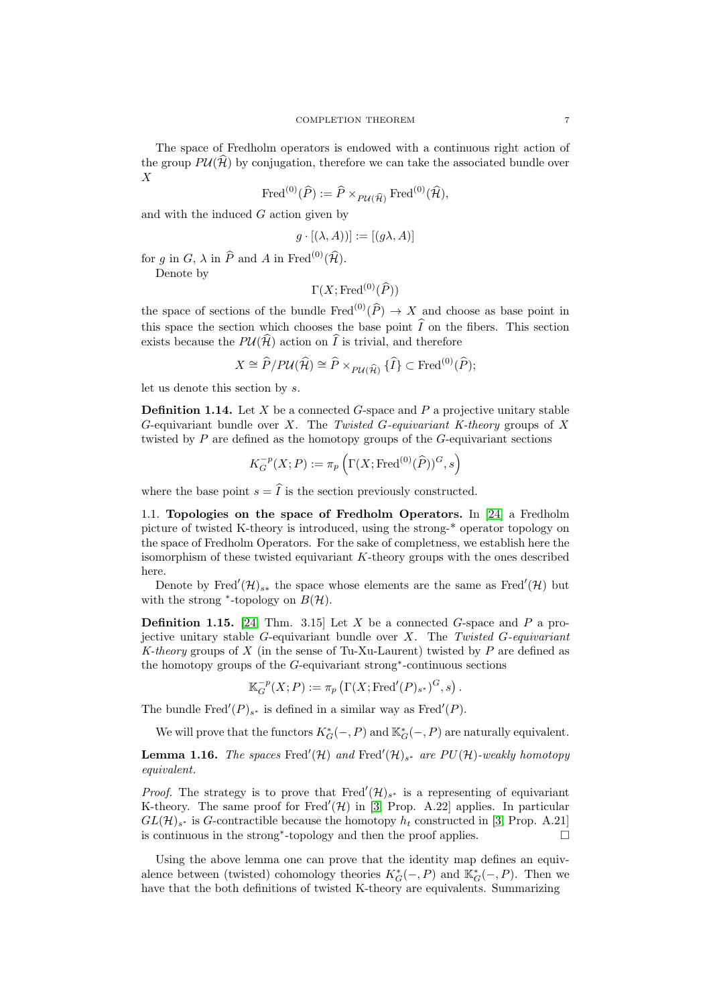The space of Fredholm operators is endowed with a continuous right action of the group  $P\mathcal{U}(\widehat{\mathcal{H}})$  by conjugation, therefore we can take the associated bundle over  $\overline{X}$ 

$$
\operatorname{Fred}^{(0)}(\widehat{P}) := \widehat{P} \times_{PU(\widehat{\mathcal{H}})} \operatorname{Fred}^{(0)}(\widehat{\mathcal{H}}),
$$

and with the induced  $G$  action given by

$$
g \cdot [(\lambda, A))] := [(g\lambda, A)]
$$

for g in G,  $\lambda$  in  $\widehat{P}$  and A in Fred<sup>(0)</sup>( $\widehat{\mathcal{H}}$ ).

Denote by

$$
\Gamma(X; \operatorname{Fred}^{(0)}(\widehat{P}))
$$

the space of sections of the bundle Fred<sup>(0)</sup>( $\hat{P}$ )  $\rightarrow$  X and choose as base point in this space the section which chooses the base point  $\widehat{I}$  on the fibers. This section exists because the  $P\mathcal{U}(\widehat{\mathcal{H}})$  action on  $\widehat{I}$  is trivial, and therefore

$$
X \cong \widehat{P}/P\mathcal{U}(\widehat{\mathcal{H}}) \cong \widehat{P} \times_{P\mathcal{U}(\widehat{\mathcal{H}})} {\{\widehat{I}\}} \subset \mathrm{Fred}^{(0)}(\widehat{P});
$$

let us denote this section by s.

**Definition 1.14.** Let  $X$  be a connected  $G$ -space and  $P$  a projective unitary stable G-equivariant bundle over X. The Twisted G-equivariant K-theory groups of X twisted by P are defined as the homotopy groups of the G-equivariant sections

$$
K_G^{-p}(X;P) := \pi_p\left(\Gamma(X; \text{Fred}^{(0)}(\widehat{P}))^G, s\right)
$$

where the base point  $s = \hat{I}$  is the section previously constructed.

<span id="page-6-0"></span>1.1. Topologies on the space of Fredholm Operators. In [\[24\]](#page-15-5) a Fredholm picture of twisted K-theory is introduced, using the strong-\* operator topology on the space of Fredholm Operators. For the sake of completness, we establish here the isomorphism of these twisted equivariant  $K$ -theory groups with the ones described here.

Denote by Fred<sup>'</sup> $(\mathcal{H})_{s*}$  the space whose elements are the same as Fred<sup>'</sup> $(\mathcal{H})$  but with the strong  $*$ -topology on  $B(\mathcal{H})$ .

**Definition 1.15.** [\[24,](#page-15-5) Thm. 3.15] Let X be a connected G-space and P a projective unitary stable G-equivariant bundle over  $X$ . The Twisted G-equivariant K-theory groups of X (in the sense of Tu-Xu-Laurent) twisted by  $P$  are defined as the homotopy groups of the G-equivariant strong<sup>∗</sup> -continuous sections

$$
\mathbb{K}_G^{-p}(X;P) := \pi_p\left(\Gamma(X; \text{Fred}'(P)_{s^*})^G, s\right).
$$

The bundle Fred<sup>'</sup> $(P)_{s^*}$  is defined in a similar way as Fred<sup>'</sup> $(P)$ .

We will prove that the functors  $K_G^*(-, P)$  and  $\mathbb{K}_G^*(-, P)$  are naturally equivalent.

**Lemma 1.16.** The spaces Fred'(H) and Fred'(H)<sub>s\*</sub> are  $PU(\mathcal{H})$ -weakly homotopy equivalent.

*Proof.* The strategy is to prove that Fred<sup>'</sup> $(\mathcal{H})_{s^*}$  is a representing of equivariant K-theory. The same proof for Fred $'(\mathcal{H})$  in [\[3,](#page-14-7) Prop. A.22] applies. In particular  $GL(\mathcal{H})_{s^*}$  is G-contractible because the homotopy  $h_t$  constructed in [\[3,](#page-14-7) Prop. A.21] is continuous in the strong<sup>∗</sup> -topology and then the proof applies.

Using the above lemma one can prove that the identity map defines an equivalence between (twisted) cohomology theories  $K_G^*(-, P)$  and  $\mathbb{K}_G^*(-, P)$ . Then we have that the both definitions of twisted K-theory are equivalents. Summarizing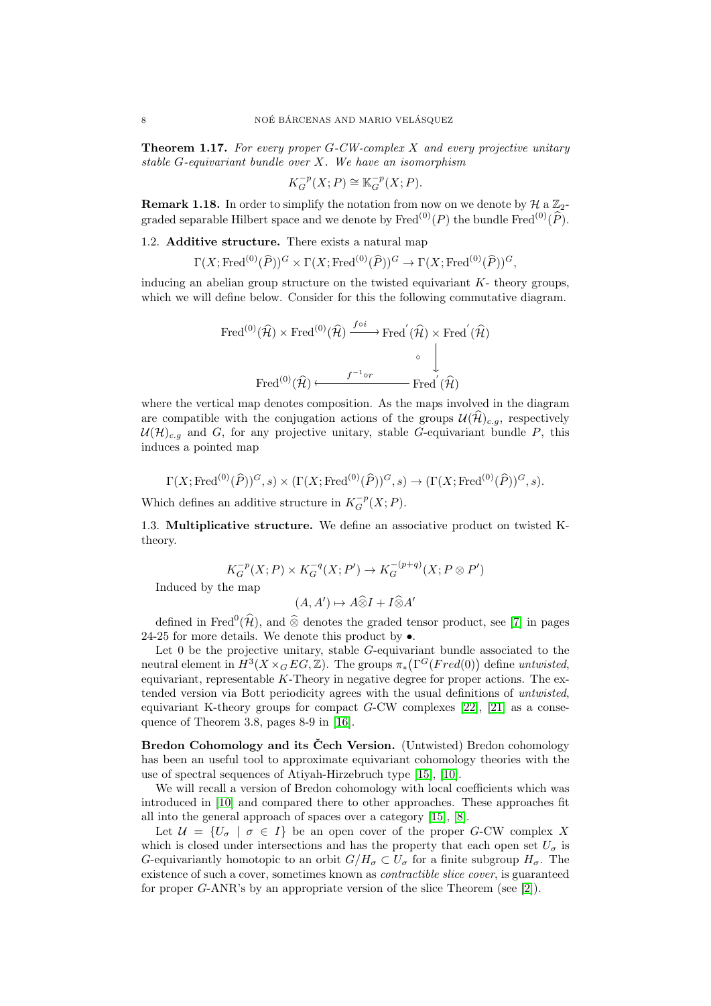**Theorem 1.17.** For every proper  $G$ -CW-complex X and every projective unitary stable  $G$ -equivariant bundle over  $X$ . We have an isomorphism

$$
K_G^{-p}(X;P) \cong \mathbb{K}_G^{-p}(X;P).
$$

**Remark 1.18.** In order to simplify the notation from now on we denote by  $\mathcal{H}$  a  $\mathbb{Z}_2$ graded separable Hilbert space and we denote by  $\text{Fred}^{(0)}(P)$  the bundle  $\text{Fred}^{(0)}(\widehat{P})$ .

<span id="page-7-0"></span>1.2. Additive structure. There exists a natural map

$$
\Gamma(X; \text{Fred}^{(0)}(\widehat{P}))^G \times \Gamma(X; \text{Fred}^{(0)}(\widehat{P}))^G \to \Gamma(X; \text{Fred}^{(0)}(\widehat{P}))^G,
$$

inducing an abelian group structure on the twisted equivariant  $K$ - theory groups. which we will define below. Consider for this the following commutative diagram.

Fred<sup>(0)</sup>(
$$
\widehat{\mathcal{H}}
$$
) × Fred<sup>(0)</sup>( $\widehat{\mathcal{H}}$ )  $\xrightarrow{f \circ i}$  Fred<sup>'</sup>( $\widehat{\mathcal{H}}$ ) × Fred<sup>'</sup>( $\widehat{\mathcal{H}}$ )  
\n
$$
\downarrow^{\circ}
$$
Fred<sup>(0)</sup>( $\widehat{\mathcal{H}}$ )  $\longleftarrow$  Fred<sup>'</sup>( $\widehat{\mathcal{H}}$ )  
\nFred<sup>(0)</sup>( $\widehat{\mathcal{H}}$ )  $\longleftarrow$  Fred<sup>'</sup>( $\widehat{\mathcal{H}}$ )

where the vertical map denotes composition. As the maps involved in the diagram are compatible with the conjugation actions of the groups  $\mathcal{U}(\hat{\mathcal{H}})_{c,q}$ , respectively  $U(\mathcal{H})_{c,q}$  and G, for any projective unitary, stable G-equivariant bundle P, this induces a pointed map

$$
\Gamma(X; \operatorname{Fred}^{(0)}(\widehat{P}))^G, s) \times (\Gamma(X; \operatorname{Fred}^{(0)}(\widehat{P}))^G, s) \to (\Gamma(X; \operatorname{Fred}^{(0)}(\widehat{P}))^G, s).
$$

Which defines an additive structure in  $K_G^{-p}(X;P)$ .

<span id="page-7-1"></span>1.3. Multiplicative structure. We define an associative product on twisted Ktheory.

$$
K_G^{-p}(X;P) \times K_G^{-q}(X;P') \to K_G^{-(p+q)}(X;P \otimes P')
$$

Induced by the map

$$
(A, A') \mapsto A \widehat{\otimes} I + I \widehat{\otimes} A'
$$

defined in Fred<sup>0</sup> $(\hat{\mathcal{H}})$ , and  $\hat{\otimes}$  denotes the graded tensor product, see [\[7\]](#page-14-8) in pages 24-25 for more details. We denote this product by  $\bullet$ .

Let  $0$  be the projective unitary, stable  $G$ -equivariant bundle associated to the neutral element in  $H^3(X\times_G EG,\mathbb{Z})$ . The groups  $\pi_*(\Gamma^G(Fred(0))$  define untwisted, equivariant, representable  $K$ -Theory in negative degree for proper actions. The extended version via Bott periodicity agrees with the usual definitions of untwisted, equivariant K-theory groups for compact  $G-CW$  complexes [\[22\]](#page-15-6), [\[21\]](#page-15-0) as a consequence of Theorem 3.8, pages 8-9 in [\[16\]](#page-14-9).

<span id="page-7-2"></span>Bredon Cohomology and its Čech Version. (Untwisted) Bredon cohomology has been an useful tool to approximate equivariant cohomology theories with the use of spectral sequences of Atiyah-Hirzebruch type [\[15\]](#page-14-10), [\[10\]](#page-14-2).

We will recall a version of Bredon cohomology with local coefficients which was introduced in [\[10\]](#page-14-2) and compared there to other approaches. These approaches fit all into the general approach of spaces over a category [\[15\]](#page-14-10), [\[8\]](#page-14-11).

Let  $\mathcal{U} = \{U_{\sigma} \mid \sigma \in I\}$  be an open cover of the proper G-CW complex X which is closed under intersections and has the property that each open set  $U_{\sigma}$  is G-equivariantly homotopic to an orbit  $G/H_{\sigma} \subset U_{\sigma}$  for a finite subgroup  $H_{\sigma}$ . The existence of such a cover, sometimes known as *contractible slice cover*, is guaranteed for proper G-ANR's by an appropriate version of the slice Theorem (see [\[2\]](#page-14-12)).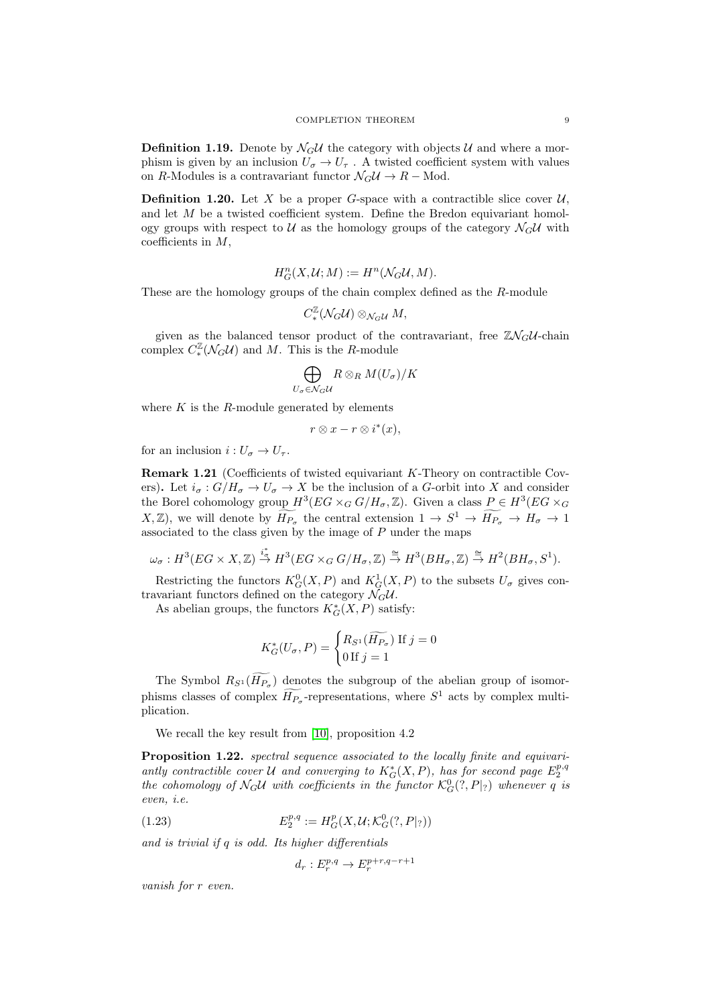**Definition 1.19.** Denote by  $\mathcal{N}_G \mathcal{U}$  the category with objects  $\mathcal{U}$  and where a morphism is given by an inclusion  $U_{\sigma} \to U_{\tau}$ . A twisted coefficient system with values on R-Modules is a contravariant functor  $\mathcal{N}_G \mathcal{U} \to R$  – Mod.

**Definition 1.20.** Let X be a proper G-space with a contractible slice cover  $\mathcal{U}$ , and let  $M$  be a twisted coefficient system. Define the Bredon equivariant homology groups with respect to  $U$  as the homology groups of the category  $\mathcal{N}_G U$  with coefficients in  $M$ ,

$$
H^n_G(X,\mathcal{U};M):=H^n(\mathcal{N}_G\mathcal{U},M).
$$

These are the homology groups of the chain complex defined as the R-module

$$
C^{\mathbb{Z}}_{*}(\mathcal{N}_{G}\mathcal{U})\otimes_{\mathcal{N}_{G}\mathcal{U}}M,
$$

given as the balanced tensor product of the contravariant, free  $\mathbb{Z}\mathcal{N}_G\mathcal{U}$ -chain complex  $C_*^{\mathbb{Z}}(\mathcal{N}_G \mathcal{U})$  and M. This is the R-module

$$
\bigoplus_{U_{\sigma}\in\mathcal{N}_{G}} R\otimes_{R} M(U_{\sigma})/K
$$

where  $K$  is the  $R$ -module generated by elements

$$
r\otimes x-r\otimes i^*(x),
$$

for an inclusion  $i: U_{\sigma} \to U_{\tau}$ .

<span id="page-8-0"></span>Remark 1.21 (Coefficients of twisted equivariant K-Theory on contractible Covers). Let  $i_{\sigma}: G/H_{\sigma} \to U_{\sigma} \to X$  be the inclusion of a G-orbit into X and consider the Borel cohomology group  $H^3(EG \times_G G/H_\sigma, \mathbb{Z})$ . Given a class  $P \in H^3(EG \times_G G)$  $(X, \mathbb{Z})$ , we will denote by  $\widetilde{H_{P_{\sigma}}}$  the central extension  $1 \to S^1 \to \widetilde{H_{P_{\sigma}}} \to H_{\sigma} \to 1$ associated to the class given by the image of  $P$  under the maps

$$
\omega_{\sigma}:H^3(EG\times X,\mathbb{Z})\stackrel{i_*^*}{\to}H^3(EG\times_G G/H_{\sigma},\mathbb{Z})\stackrel{\cong}{\to}H^3(BH_{\sigma},\mathbb{Z})\stackrel{\cong}{\to}H^2(BH_{\sigma},S^1).
$$

Restricting the functors  $K_G^0(X, P)$  and  $K_G^1(X, P)$  to the subsets  $U_{\sigma}$  gives contravariant functors defined on the category  $\mathcal{N}_G\mathcal{U}$ .

As abelian groups, the functors  $K_G^*(X, P)$  satisfy:

$$
K_G^*(U_\sigma, P) = \begin{cases} R_{S^1}(\widetilde{H_{P_\sigma}}) & \text{if } j = 0\\ 0 & \text{if } j = 1 \end{cases}
$$

The Symbol  $R_{S^1}(H_{P_{\sigma}})$  denotes the subgroup of the abelian group of isomorphisms classes of complex  $\widetilde{H_{P_{\sigma}}}$ -representations, where  $S^1$  acts by complex multiplication.

We recall the key result from [\[10\]](#page-14-2), proposition 4.2

Proposition 1.22. spectral sequence associated to the locally finite and equivariantly contractible cover U and converging to  $K_G^*(X, P)$ , has for second page  $E_2^{p,q}$ the cohomology of  $\mathcal{N}_G\mathcal{U}$  with coefficients in the functor  $\mathcal{K}_G^0(?,P|_?)$  whenever q is even, i.e.

(1.23) 
$$
E_2^{p,q} := H_G^p(X, \mathcal{U}; \mathcal{K}_G^0(?, P|_?))
$$

and is trivial if q is odd. Its higher differentials

 $d_r: E_r^{p,q} \to E_r^{p+r,q-r+1}$ 

vanish for r even.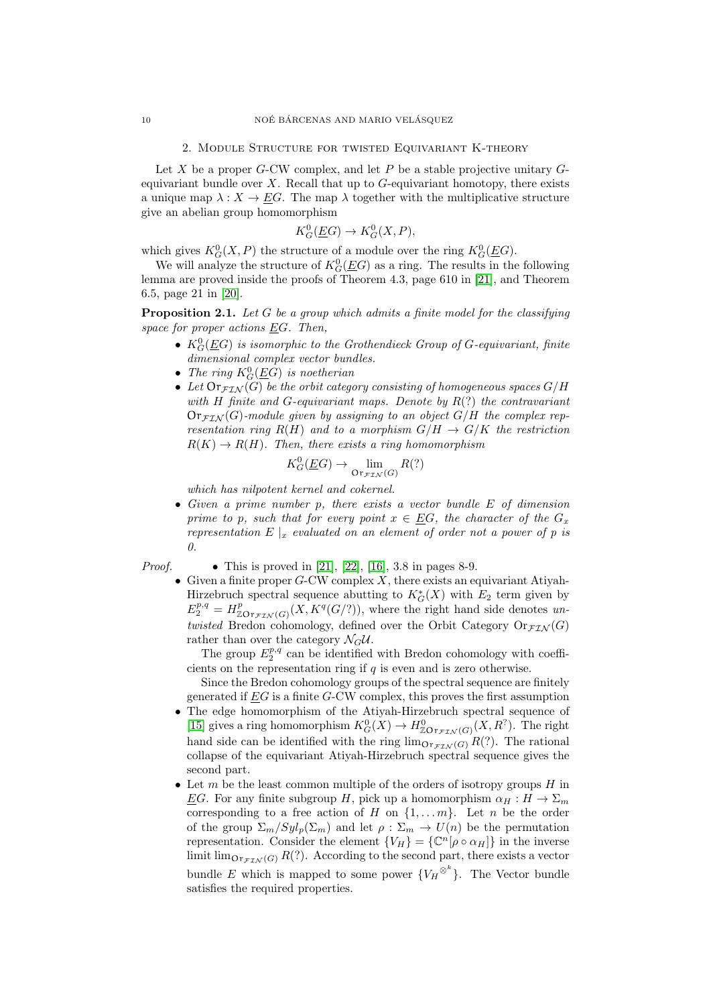#### 2. MODULE STRUCTURE FOR TWISTED EQUIVARIANT K-THEORY

<span id="page-9-0"></span>Let  $X$  be a proper  $G$ -CW complex, and let  $P$  be a stable projective unitary  $G$ equivariant bundle over  $X$ . Recall that up to  $G$ -equivariant homotopy, there exists a unique map  $\lambda : X \to EG$ . The map  $\lambda$  together with the multiplicative structure give an abelian group homomorphism

$$
K_G^0(\underline{E}G) \to K_G^0(X, P),
$$

which gives  $K_G^0(X, P)$  the structure of a module over the ring  $K_G^0(\underline{E}G)$ .

We will analyze the structure of  $K_G^0(\underline{E}G)$  as a ring. The results in the following lemma are proved inside the proofs of Theorem 4.3, page 610 in [\[21\]](#page-15-0), and Theorem 6.5, page 21 in [\[20\]](#page-15-7).

<span id="page-9-1"></span>**Proposition 2.1.** Let G be a group which admits a finite model for the classifying space for proper actions  $\underline{E}G$ . Then,

- $K_G^0(\underline{E}G)$  is isomorphic to the Grothendieck Group of G-equivariant, finite dimensional complex vector bundles.
- The ring  $K_G^0(\underline{E}G)$  is noetherian
- Let  $\text{Or}_{\mathcal{F}LN}(G)$  be the orbit category consisting of homogeneous spaces  $G/H$ with H finite and G-equivariant maps. Denote by  $R(?)$  the contravariant  $\text{Or}_{\mathcal{F} \mathcal{F} \mathcal{N}}(G)$ -module given by assigning to an object  $G/H$  the complex representation ring  $R(H)$  and to a morphism  $G/H \to G/K$  the restriction  $R(K) \to R(H)$ . Then, there exists a ring homomorphism

$$
K_G^0(\underline{E}G) \to \lim_{\text{Or}_{\mathcal{FIN}}(G)} R(?)
$$

which has nilpotent kernel and cokernel.

• Given a prime number p, there exists a vector bundle E of dimension prime to p, such that for every point  $x \in EG$ , the character of the  $G_x$ representation  $E|_x$  evaluated on an element of order not a power of p is 0.

*Proof.* • This is proved in [\[21\]](#page-15-0), [\[22\]](#page-15-6), [\[16\]](#page-14-9), 3.8 in pages 8-9.

• Given a finite proper  $G$ -CW complex  $\hat{X}$ , there exists an equivariant Atiyah-Hirzebruch spectral sequence abutting to  $K_G^*(X)$  with  $E_2$  term given by  $E_2^{p,q} = H_{\mathbb{Z} \mathcal{O} \mathcal{F} \mathcal{F} \mathcal{I} \mathcal{N}}(G) (X, K^q(G/?)),$  where the right hand side denotes untwisted Bredon cohomology, defined over the Orbit Category  $\text{Or}_{\mathcal{FIN}}(G)$ rather than over the category  $\mathcal{N}_G \mathcal{U}$ .

The group  $E_2^{p,q}$  can be identified with Bredon cohomology with coefficients on the representation ring if  $q$  is even and is zero otherwise.

Since the Bredon cohomology groups of the spectral sequence are finitely generated if  $EG$  is a finite  $G$ -CW complex, this proves the first assumption

- The edge homomorphism of the Atiyah-Hirzebruch spectral sequence of [\[15\]](#page-14-10) gives a ring homomorphism  $K_G^0(X) \to H^0_{\mathcal{Z} \mathcal{O} r_{\mathcal{FIN}}(G)}(X,R^?)$ . The right hand side can be identified with the ring  $\lim_{\Omega \to \tau \wedge \mu(G)} R(?)$ . The rational collapse of the equivariant Atiyah-Hirzebruch spectral sequence gives the second part.
- Let  $m$  be the least common multiple of the orders of isotropy groups  $H$  in EG. For any finite subgroup H, pick up a homomorphism  $\alpha_H : H \to \Sigma_m$ corresponding to a free action of H on  $\{1, \ldots m\}$ . Let n be the order of the group  $\Sigma_m/Syl_p(\Sigma_m)$  and let  $\rho : \Sigma_m \to U(n)$  be the permutation representation. Consider the element  ${V_H} = {\mathbb{C}^n[\rho \circ \alpha_H]}$  in the inverse limit  $\lim_{\text{Or}_{\mathcal{FIN}}(G)} R(?)$ . According to the second part, there exists a vector bundle E which is mapped to some power  ${V_H \otimes^k}$ . The Vector bundle satisfies the required properties.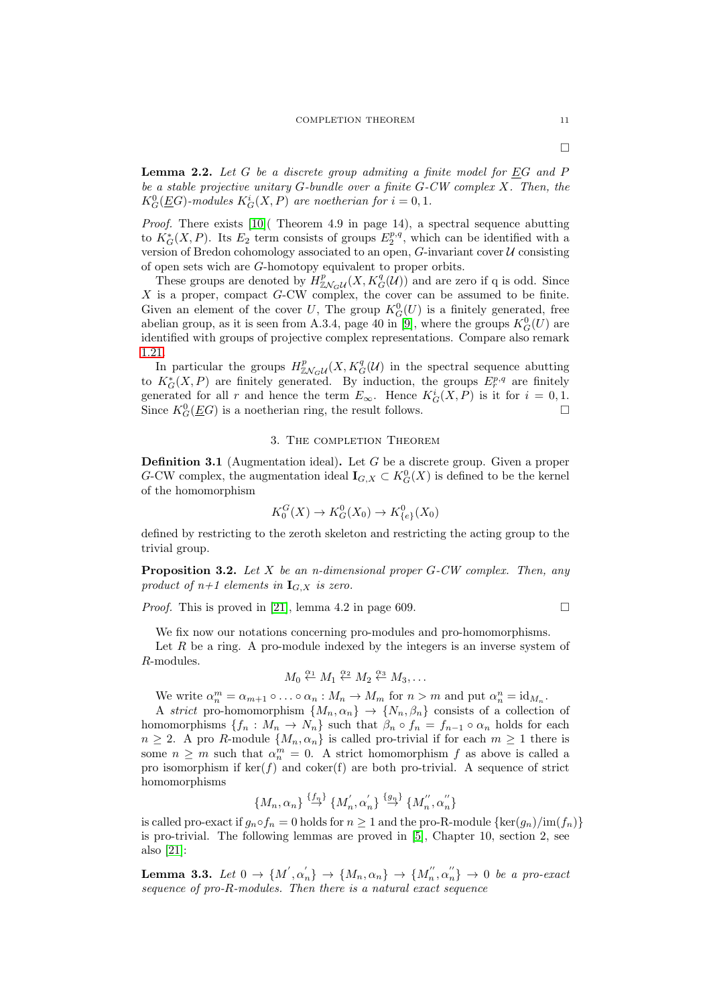<span id="page-10-2"></span>**Lemma 2.2.** Let  $G$  be a discrete group admiting a finite model for  $EG$  and  $P$ be a stable projective unitary  $G$ -bundle over a finite  $G$ -CW complex  $X$ . Then, the  $K_G^0(\underline{E}G)$ -modules  $K_G^i(X, P)$  are noetherian for  $i = 0, 1$ .

*Proof.* There exists  $[10]$  (Theorem 4.9 in page 14), a spectral sequence abutting to  $K_G^*(X, P)$ . Its  $E_2$  term consists of groups  $E_2^{p,q}$ , which can be identified with a version of Bredon cohomology associated to an open,  $G$ -invariant cover  $U$  consisting of open sets wich are G-homotopy equivalent to proper orbits.

These groups are denoted by  $H^p_{\mathbb{Z}N_G\mathcal{U}}(X, K_G^q(\mathcal{U}))$  and are zero if q is odd. Since  $X$  is a proper, compact  $G$ -CW complex, the cover can be assumed to be finite. Given an element of the cover U, The group  $K_G^0(U)$  is a finitely generated, free abelian group, as it is seen from A.3.4, page 40 in [\[9\]](#page-14-1), where the groups  $K_G^0(U)$  are identified with groups of projective complex representations. Compare also remark [1.21.](#page-8-0)

In particular the groups  $H_{\mathbb{Z}\mathcal{N}_G\mathcal{U}}^p(X,K_G^q(\mathcal{U}))$  in the spectral sequence abutting to  $K_G^*(X, P)$  are finitely generated. By induction, the groups  $E_r^{p,q}$  are finitely generated for all r and hence the term  $E_{\infty}$ . Hence  $K_G^i(X, P)$  is it for  $i = 0, 1$ . Since  $K_G^0(\underline{E}G)$  is a noetherian ring, the result follows.

### 3. The completion Theorem

<span id="page-10-0"></span>**Definition 3.1** (Augmentation ideal). Let  $G$  be a discrete group. Given a proper G-CW complex, the augmentation ideal  $\mathbf{I}_{G,X} \subset K_G^0(X)$  is defined to be the kernel of the homomorphism

$$
K_0^G(X) \to K_G^0(X_0) \to K_{\{e\}}^0(X_0)
$$

defined by restricting to the zeroth skeleton and restricting the acting group to the trivial group.

<span id="page-10-1"></span>**Proposition 3.2.** Let  $X$  be an n-dimensional proper  $G$ -CW complex. Then, any product of  $n+1$  elements in  $\mathbf{I}_{G,X}$  is zero.

*Proof.* This is proved in [\[21\]](#page-15-0), lemma 4.2 in page 609.

We fix now our notations concerning pro-modules and pro-homomorphisms.

Let  $R$  be a ring. A pro-module indexed by the integers is an inverse system of R-modules.

$$
M_0 \stackrel{\alpha_1}{\leftarrow} M_1 \stackrel{\alpha_2}{\leftarrow} M_2 \stackrel{\alpha_3}{\leftarrow} M_3, \dots
$$

We write  $\alpha_n^m = \alpha_{m+1} \circ \ldots \circ \alpha_n : M_n \to M_m$  for  $n > m$  and put  $\alpha_n^n = \mathrm{id}_{M_n}$ .

A strict pro-homomorphism  $\{M_n, \alpha_n\} \to \{N_n, \beta_n\}$  consists of a collection of homomorphisms  $\{f_n: M_n \to N_n\}$  such that  $\beta_n \circ f_n = f_{n-1} \circ \alpha_n$  holds for each  $n \geq 2$ . A pro R-module  $\{M_n, \alpha_n\}$  is called pro-trivial if for each  $m \geq 1$  there is some  $n \geq m$  such that  $\alpha_n^m = 0$ . A strict homomorphism f as above is called a pro isomorphism if  $\ker(f)$  and coker(f) are both pro-trivial. A sequence of strict homomorphisms

$$
\{M_n, \alpha_n\} \stackrel{\{f_n\}}{\rightarrow} \{M_n^{'}, \alpha_n^{'}\} \stackrel{\{g_n\}}{\rightarrow} \{M_n^{''}, \alpha_n^{''}\}
$$

is called pro-exact if  $g_n \circ f_n = 0$  holds for  $n \geq 1$  and the pro-R-module  $\{\ker(g_n)/\text{im}(f_n)\}$ is pro-trivial. The following lemmas are proved in [\[5\]](#page-14-13), Chapter 10, section 2, see also [\[21\]](#page-15-0):

<span id="page-10-3"></span>Lemma 3.3. Let  $0 \to \{M', \alpha'_n\} \to \{M_n, \alpha_n\} \to \{M''_n, \alpha''_n\} \to 0$  be a pro-exact sequence of pro-R-modules. Then there is a natural exact sequence

 $\Box$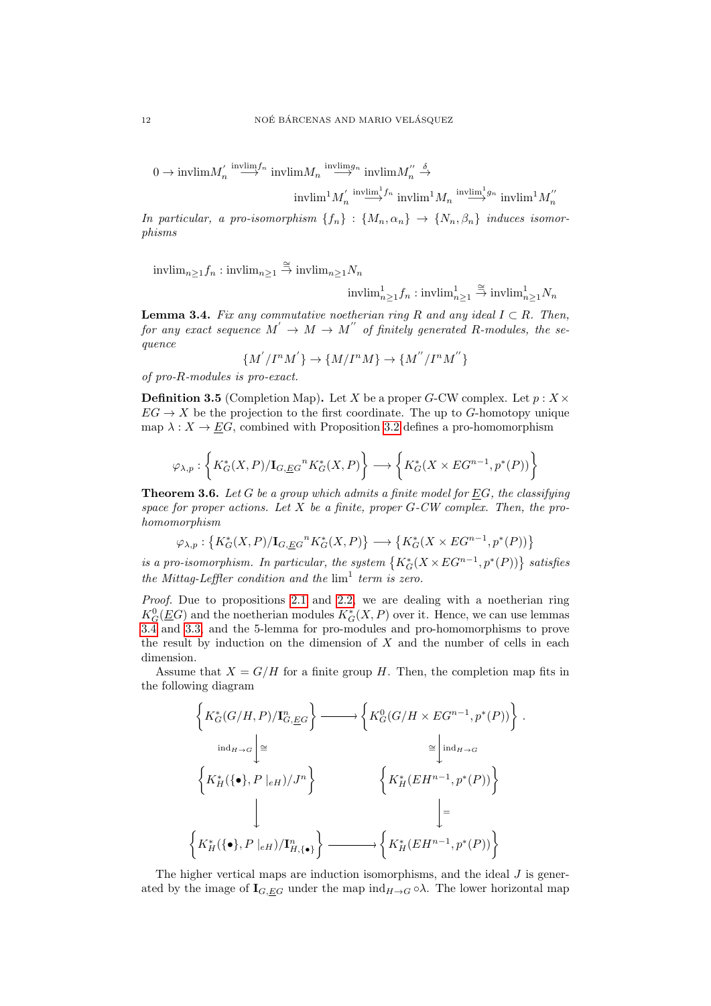$0 \to \text{invlim} M_n' \stackrel{\text{invlim} f_n}{\longrightarrow} \text{invlim} M_n' \stackrel{\text{invlim} g_n}{\longrightarrow} \text{invlim} M_n''$  $\stackrel{\delta}{\rightarrow}$ 

$$
\mathrm{invlim}^1 M_n' \stackrel{\mathrm{invlim}^1 f_n}{\longrightarrow} \mathrm{invlim}^1 M_n \stackrel{\mathrm{invlim}^1 g_n}{\longrightarrow} \mathrm{invlim}^1 M_n''
$$

In particular, a pro-isomorphism  $\{f_n\}$ :  $\{M_n, \alpha_n\}$   $\rightarrow$   $\{N_n, \beta_n\}$  induces isomorphisms

 $\text{invlim}_{n\geq 1} f_n : \text{invlim}_{n\geq 1} \stackrel{\cong}{\to} \text{invlim}_{n\geq 1} N_n$ 

$$
\mathrm{invlim}^1_{n\geq 1} f_n: \mathrm{invlim}^1_{n\geq 1} \stackrel{\cong}{\to} \mathrm{invlim}^1_{n\geq 1} N_n
$$

<span id="page-11-1"></span>**Lemma 3.4.** Fix any commutative noetherian ring R and any ideal  $I \subset R$ . Then, for any exact sequence  $M' \to M \to M''$  of finitely generated R-modules, the sequence

$$
\{M^{'}/I^nM^{'}\}\rightarrow\{M/I^nM\}\rightarrow\{M^{''}/I^nM^{''}\}
$$

of pro-R-modules is pro-exact.

**Definition 3.5** (Completion Map). Let X be a proper G-CW complex. Let  $p: X \times$  $EG \to X$  be the projection to the first coordinate. The up to G-homotopy unique map  $\lambda: X \to \underline{E}G$ , combined with Proposition [3.2](#page-10-1) defines a pro-homomorphism

$$
\varphi_{\lambda,p}:\left\{K^*_G(X,P)/\mathbf{1}_{G,\underline{E}G}{}^nK^*_G(X,P)\right\}\longrightarrow \left\{K^*_G(X\times EG^{n-1},p^*(P))\right\}
$$

<span id="page-11-0"></span>**Theorem 3.6.** Let G be a group which admits a finite model for EG, the classifying space for proper actions. Let  $X$  be a finite, proper  $G$ -CW complex. Then, the prohomomorphism

$$
\varphi_{\lambda,p}: \left\{K_G^*(X,P)/\mathbf{I}_{G,\underline{E}G}{}^n K_G^*(X,P)\right\} \longrightarrow \left\{K_G^*(X\times EG^{n-1},p^*(P))\right\}
$$

is a pro-isomorphism. In particular, the system  $\{K_G^*(X\times EG^{n-1},p^*(P))\}$  satisfies the Mittag-Leffler condition and the  $\lim^1$  term is zero.

*Proof.* Due to propositions [2.1](#page-9-1) and [2.2,](#page-10-2) we are dealing with a noetherian ring  $K_G^0(\underline{E}G)$  and the noetherian modules  $K_G^*(X,P)$  over it. Hence, we can use lemmas [3.4](#page-11-1) and [3.3,](#page-10-3) and the 5-lemma for pro-modules and pro-homomorphisms to prove the result by induction on the dimension of  $X$  and the number of cells in each dimension.

Assume that  $X = G/H$  for a finite group H. Then, the completion map fits in the following diagram

$$
\left\{ K_G^*(G/H, P)/\mathbf{I}_{G,EG}^n \right\} \longrightarrow \left\{ K_G^0(G/H \times EG^{n-1}, p^*(P)) \right\}.
$$
  
\n
$$
\left\{ K_H^*(\{\bullet\}, P \mid_{eH})/J^n \right\} \qquad \left\{ K_H^*(EH^{n-1}, p^*(P)) \right\}
$$
  
\n
$$
\left\{ K_H^*(\{\bullet\}, P \mid_{eH})/ \mathbf{I}_{H,\{\bullet\}}^n \right\} \longrightarrow \left\{ K_H^*(EH^{n-1}, p^*(P)) \right\}
$$
  
\n
$$
\left\{ K_H^*(\{\bullet\}, P \mid_{eH})/ \mathbf{I}_{H,\{\bullet\}}^n \right\} \longrightarrow \left\{ K_H^*(EH^{n-1}, p^*(P)) \right\}
$$

The higher vertical maps are induction isomorphisms, and the ideal  $J$  is generated by the image of  $I_{G,EG}$  under the map  $\text{ind}_{H\to G} \circ \lambda$ . The lower horizontal map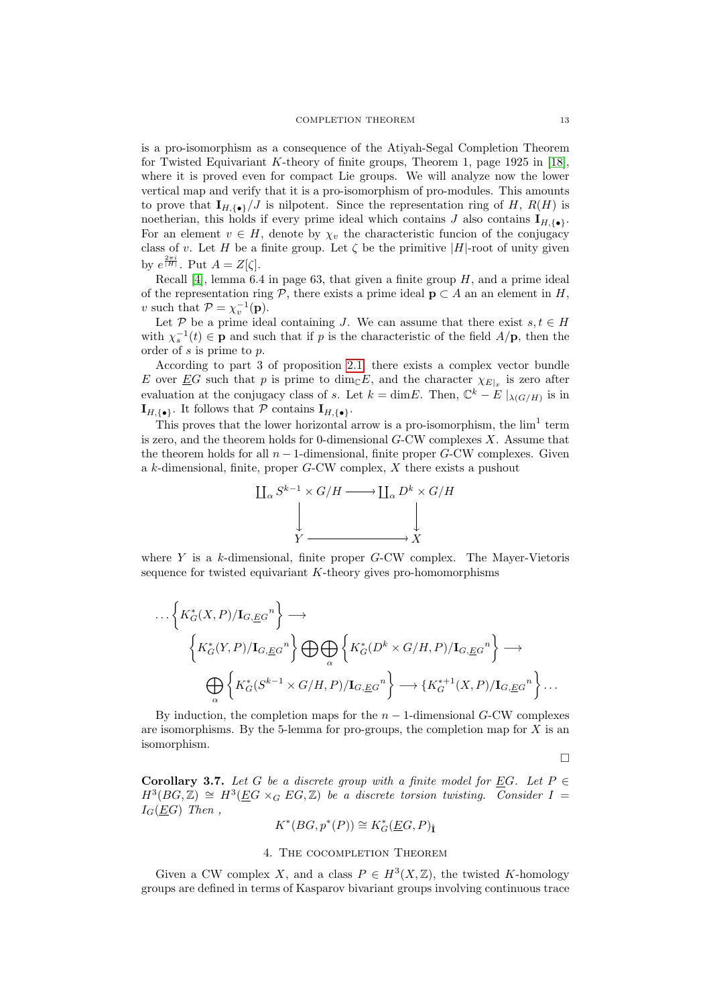is a pro-isomorphism as a consequence of the Atiyah-Segal Completion Theorem for Twisted Equivariant K-theory of finite groups, Theorem 1, page 1925 in [\[18\]](#page-15-1), where it is proved even for compact Lie groups. We will analyze now the lower vertical map and verify that it is a pro-isomorphism of pro-modules. This amounts to prove that  $\mathbf{I}_{H,\{\bullet\}}/J$  is nilpotent. Since the representation ring of H,  $R(H)$  is noetherian, this holds if every prime ideal which contains J also contains  $I_{H,\{\bullet\}}$ . For an element  $v \in H$ , denote by  $\chi_v$  the characteristic funcion of the conjugacy class of v. Let H be a finite group. Let  $\zeta$  be the primitive |H|-root of unity given by  $e^{\frac{2\pi i}{|H|}}$ . Put  $A = Z[\zeta]$ .

Recall [\[4\]](#page-14-14), lemma  $6.4$  in page 63, that given a finite group  $H$ , and a prime ideal of the representation ring  $P$ , there exists a prime ideal  $p \subset A$  an an element in H, v such that  $\mathcal{P} = \chi_v^{-1}(\mathbf{p}).$ 

Let P be a prime ideal containing J. We can assume that there exist  $s, t \in H$ with  $\chi_s^{-1}(t) \in \mathbf{p}$  and such that if p is the characteristic of the field  $A/\mathbf{p}$ , then the order of s is prime to p.

According to part 3 of proposition [2.1,](#page-9-1) there exists a complex vector bundle E over  $\underline{E}G$  such that p is prime to  $\dim_{\mathbb{C}} E$ , and the character  $\chi_{E|x}$  is zero after evaluation at the conjugacy class of s. Let  $k = \dim E$ . Then,  $\mathbb{C}^k - E \mid_{\lambda(G/H)}$  is in  $\mathbf{I}_{H,\{\bullet\}}$ . It follows that  $\mathcal P$  contains  $\mathbf{I}_{H,\{\bullet\}}$ .

This proves that the lower horizontal arrow is a pro-isomorphism, the  $\lim<sup>1</sup>$  term is zero, and the theorem holds for 0-dimensional  $G$ -CW complexes  $X$ . Assume that the theorem holds for all  $n-1$ -dimensional, finite proper  $G$ -CW complexes. Given a k-dimensional, finite, proper G-CW complex, X there exists a pushout



where  $Y$  is a  $k$ -dimensional, finite proper  $G-CW$  complex. The Mayer-Vietoris sequence for twisted equivariant  $K$ -theory gives pro-homomorphisms

$$
\cdots \left\{ K_G^*(X,P)/\mathbf{I}_{G,\underline{E}G}^n \right\} \longrightarrow
$$
\n
$$
\left\{ K_G^*(Y,P)/\mathbf{I}_{G,\underline{E}G}^n \right\} \bigoplus \bigoplus_{\alpha} \left\{ K_G^*(D^k \times G/H, P)/\mathbf{I}_{G,\underline{E}G}^n \right\} \longrightarrow
$$
\n
$$
\bigoplus_{\alpha} \left\{ K_G^*(S^{k-1} \times G/H, P)/\mathbf{I}_{G,\underline{E}G}^n \right\} \longrightarrow \left\{ K_G^{*+1}(X,P)/\mathbf{I}_{G,\underline{E}G}^n \right\} \cdots
$$

By induction, the completion maps for the  $n-1$ -dimensional G-CW complexes are isomorphisms. By the 5-lemma for pro-groups, the completion map for  $X$  is an isomorphism.

 $\Box$ 

**Corollary 3.7.** Let G be a discrete group with a finite model for EG. Let  $P \in$  $H^3(BG, \mathbb{Z}) \cong H^3(\underline{E}G \times_G EG, \mathbb{Z})$  be a discrete torsion twisting. Consider  $I =$  $I_G(EG)$  Then,

$$
K^*(BG, p^*(P)) \cong K_G^*(\underline{E}G, P)_{\hat{I}}
$$

#### 4. The cocompletion Theorem

<span id="page-12-0"></span>Given a CW complex X, and a class  $P \in H^3(X, \mathbb{Z})$ , the twisted K-homology groups are defined in terms of Kasparov bivariant groups involving continuous trace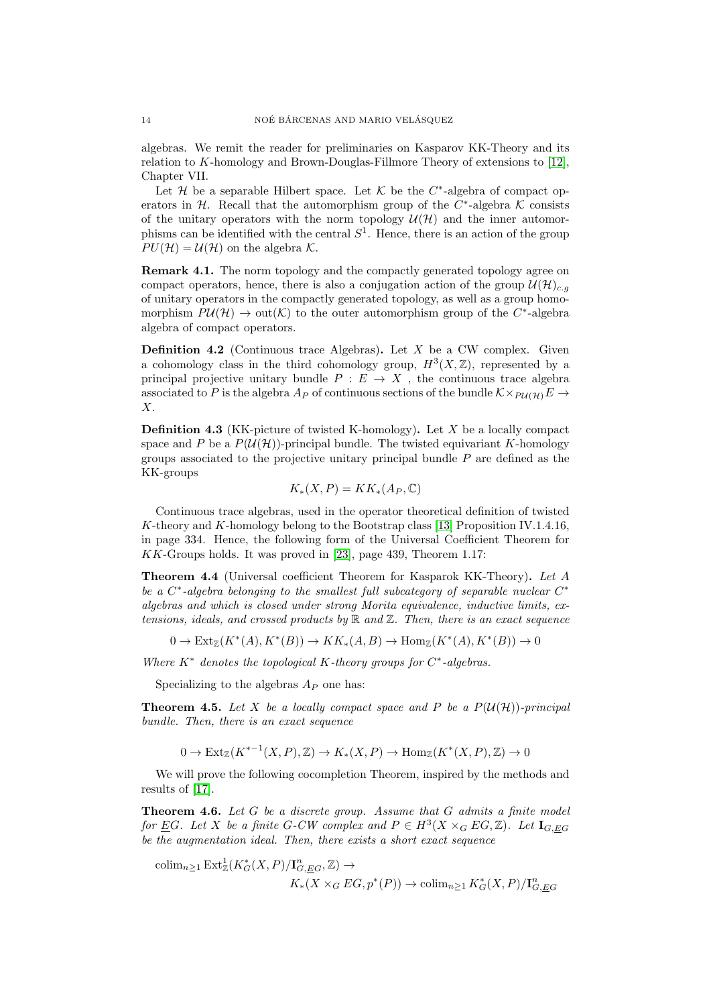algebras. We remit the reader for preliminaries on Kasparov KK-Theory and its relation to K-homology and Brown-Douglas-Fillmore Theory of extensions to [\[12\]](#page-14-15), Chapter VII.

Let H be a separable Hilbert space. Let K be the  $C^*$ -algebra of compact operators in  $H$ . Recall that the automorphism group of the  $C^*$ -algebra K consists of the unitary operators with the norm topology  $\mathcal{U}(\mathcal{H})$  and the inner automorphisms can be identified with the central  $S<sup>1</sup>$ . Hence, there is an action of the group  $PU(\mathcal{H}) = U(\mathcal{H})$  on the algebra K.

Remark 4.1. The norm topology and the compactly generated topology agree on compact operators, hence, there is also a conjugation action of the group  $\mathcal{U}(\mathcal{H})_{c,q}$ of unitary operators in the compactly generated topology, as well as a group homomorphism  $P\mathcal{U}(\mathcal{H}) \to \text{out}(\mathcal{K})$  to the outer automorphism group of the C<sup>\*</sup>-algebra algebra of compact operators.

**Definition 4.2** (Continuous trace Algebras). Let  $X$  be a CW complex. Given a cohomology class in the third cohomology group,  $H^3(X,\mathbb{Z})$ , represented by a principal projective unitary bundle  $P : E \to X$ , the continuous trace algebra associated to P is the algebra  $A_P$  of continuous sections of the bundle  $\mathcal{K} \times_{P \mathcal{U}(\mathcal{H})} E \rightarrow$ X.

**Definition 4.3** (KK-picture of twisted K-homology). Let X be a locally compact space and P be a  $P(\mathcal{U}(\mathcal{H}))$ -principal bundle. The twisted equivariant K-homology groups associated to the projective unitary principal bundle P are defined as the KK-groups

$$
K_*(X,P) = KK_*(A_P, \mathbb{C})
$$

Continuous trace algebras, used in the operator theoretical definition of twisted K-theory and K-homology belong to the Bootstrap class [\[13\]](#page-14-16) Proposition IV.1.4.16, in page 334. Hence, the following form of the Universal Coefficient Theorem for KK-Groups holds. It was proved in [\[23\]](#page-15-2), page 439, Theorem 1.17:

Theorem 4.4 (Universal coefficient Theorem for Kasparok KK-Theory). Let A be a  $C^*$ -algebra belonging to the smallest full subcategory of separable nuclear  $C^*$ algebras and which is closed under strong Morita equivalence, inductive limits, extensions, ideals, and crossed products by  $\mathbb R$  and  $\mathbb Z$ . Then, there is an exact sequence

$$
0 \to \text{Ext}_{\mathbb{Z}}(K^*(A), K^*(B)) \to KK_*(A, B) \to \text{Hom}_{\mathbb{Z}}(K^*(A), K^*(B)) \to 0
$$

Where  $K^*$  denotes the topological K-theory groups for  $C^*$ -algebras.

Specializing to the algebras  $A_P$  one has:

<span id="page-13-1"></span>**Theorem 4.5.** Let X be a locally compact space and P be a  $P(\mathcal{U}(\mathcal{H}))$ -principal bundle. Then, there is an exact sequence

 $0 \to \text{Ext}_{\mathbb{Z}}(K^{*-1}(X,P),\mathbb{Z}) \to K_*(X,P) \to \text{Hom}_{\mathbb{Z}}(K^*(X,P),\mathbb{Z}) \to 0$ 

We will prove the following cocompletion Theorem, inspired by the methods and results of [\[17\]](#page-14-5).

<span id="page-13-0"></span>**Theorem 4.6.** Let  $G$  be a discrete group. Assume that  $G$  admits a finite model for <u>E</u>G. Let X be a finite G-CW complex and  $P \in H^3(X \times_G EG, \mathbb{Z})$ . Let  $I_{G,EG}$ be the augmentation ideal. Then, there exists a short exact sequence

colim<sub>n</sub><sub>21</sub> Ext<sub> $\mathbb{Z}$ </sub> $(K_G^*(X, P)/\mathbf{I}_{G, \underline{E}G}^n, \mathbb{Z}) \rightarrow$  $K_*(X \times_G EG, p^*(P)) \to \text{colim}_{n \geq 1} K_G^*(X, P)/\mathbf{I}_{G, EG}^n$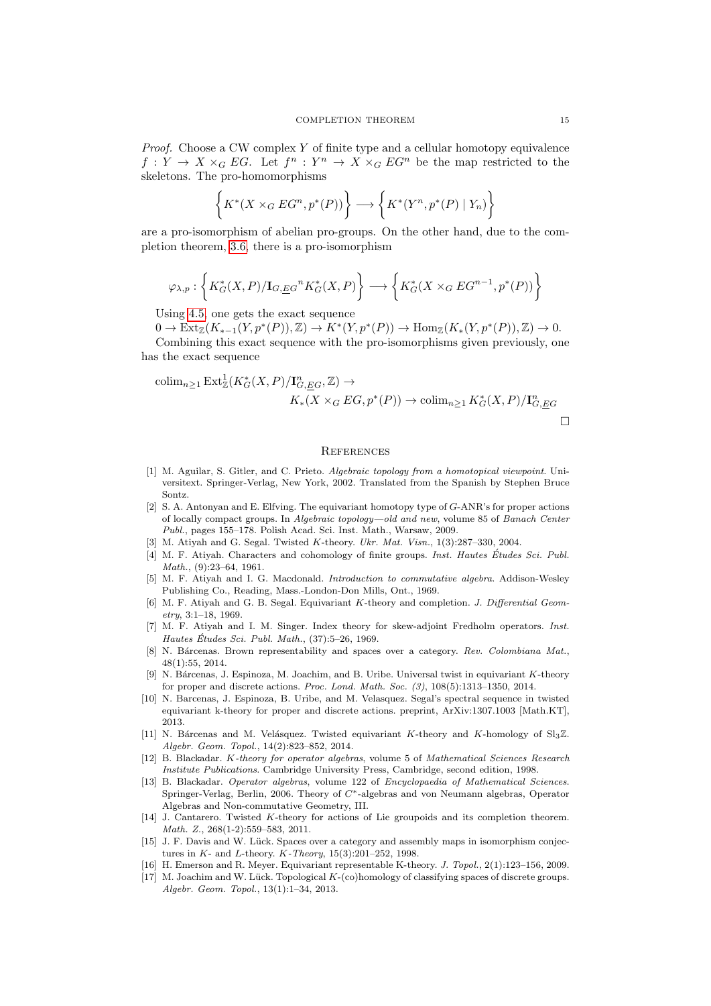*Proof.* Choose a CW complex  $Y$  of finite type and a cellular homotopy equivalence  $f: Y \to X \times_G EG$ . Let  $f^n: Y^n \to X \times_G EG^n$  be the map restricted to the skeletons. The pro-homomorphisms

$$
\left\{ K^*(X \times_G EG^n, p^*(P)) \right\} \longrightarrow \left\{ K^*(Y^n, p^*(P) \mid Y_n) \right\}
$$

are a pro-isomorphism of abelian pro-groups. On the other hand, due to the completion theorem, [3.6,](#page-11-0) there is a pro-isomorphism

$$
\varphi_{\lambda,p}: \left\{ K_G^*(X,P)/\mathbf{I}_{G,\underline{E}G}{}^n K_G^*(X,P) \right\} \longrightarrow \left\{ K_G^*(X\times_G EG^{n-1},p^*(P)) \right\}
$$

Using [4.5,](#page-13-1) one gets the exact sequence

 $0 \to \text{Ext}_{\mathbb{Z}}(K_{*-1}(Y, p^*(P)), \mathbb{Z}) \to K^*(Y, p^*(P)) \to \text{Hom}_{\mathbb{Z}}(K_*(Y, p^*(P)), \mathbb{Z}) \to 0.$ 

Combining this exact sequence with the pro-isomorphisms given previously, one has the exact sequence

$$
\operatorname{colim}_{n\geq 1} \operatorname{Ext}_{\mathbb{Z}}^1(K_G^*(X, P)/\mathbf{I}_{G, \underline{E}G}^n, \mathbb{Z}) \to
$$
  

$$
K_*(X \times_G EG, p^*(P)) \to \operatorname{colim}_{n\geq 1} K_G^*(X, P)/\mathbf{I}_{G, \underline{E}G}^n
$$

#### **REFERENCES**

- <span id="page-14-6"></span>[1] M. Aguilar, S. Gitler, and C. Prieto. Algebraic topology from a homotopical viewpoint. Universitext. Springer-Verlag, New York, 2002. Translated from the Spanish by Stephen Bruce Sontz.
- <span id="page-14-12"></span>[2] S. A. Antonyan and E. Elfving. The equivariant homotopy type of G-ANR's for proper actions of locally compact groups. In Algebraic topology—old and new, volume 85 of Banach Center Publ., pages 155–178. Polish Acad. Sci. Inst. Math., Warsaw, 2009.
- <span id="page-14-7"></span>[3] M. Atiyah and G. Segal. Twisted K-theory. Ukr. Mat. Visn., 1(3):287-330, 2004.
- <span id="page-14-14"></span>[4] M. F. Atiyah. Characters and cohomology of finite groups. Inst. Hautes Études Sci. Publ. Math., (9):23–64, 1961.
- <span id="page-14-13"></span>[5] M. F. Atiyah and I. G. Macdonald. Introduction to commutative algebra. Addison-Wesley Publishing Co., Reading, Mass.-London-Don Mills, Ont., 1969.
- <span id="page-14-0"></span>[6] M. F. Atiyah and G. B. Segal. Equivariant K-theory and completion. J. Differential Geometry, 3:1–18, 1969.
- <span id="page-14-8"></span>[7] M. F. Atiyah and I. M. Singer. Index theory for skew-adjoint Fredholm operators. Inst. Hautes Études Sci. Publ. Math.,  $(37):5-26$ , 1969.
- <span id="page-14-11"></span>[8] N. Bárcenas. Brown representability and spaces over a category. Rev. Colombiana Mat., 48(1):55, 2014.
- <span id="page-14-1"></span>[9] N. Bárcenas, J. Espinoza, M. Joachim, and B. Uribe. Universal twist in equivariant K-theory for proper and discrete actions. Proc. Lond. Math. Soc. (3), 108(5):1313–1350, 2014.
- <span id="page-14-2"></span>[10] N. Barcenas, J. Espinoza, B. Uribe, and M. Velasquez. Segal's spectral sequence in twisted equivariant k-theory for proper and discrete actions. preprint, ArXiv:1307.1003 [Math.KT], 2013.
- <span id="page-14-3"></span>[11] N. Bárcenas and M. Velásquez. Twisted equivariant K-theory and K-homology of  $Sl_3\mathbb{Z}$ . Algebr. Geom. Topol., 14(2):823–852, 2014.
- <span id="page-14-15"></span>[12] B. Blackadar. K-theory for operator algebras, volume 5 of Mathematical Sciences Research Institute Publications. Cambridge University Press, Cambridge, second edition, 1998.
- <span id="page-14-16"></span>[13] B. Blackadar. Operator algebras, volume 122 of Encyclopaedia of Mathematical Sciences. Springer-Verlag, Berlin, 2006. Theory of C∗-algebras and von Neumann algebras, Operator Algebras and Non-commutative Geometry, III.
- <span id="page-14-4"></span>[14] J. Cantarero. Twisted K-theory for actions of Lie groupoids and its completion theorem. Math. Z., 268(1-2):559–583, 2011.
- <span id="page-14-10"></span>[15] J. F. Davis and W. Lück. Spaces over a category and assembly maps in isomorphism conjectures in  $K$ - and  $L$ -theory.  $K$ -Theory, 15(3):201–252, 1998.
- <span id="page-14-9"></span>[16] H. Emerson and R. Meyer. Equivariant representable K-theory. J. Topol., 2(1):123–156, 2009.
- <span id="page-14-5"></span>[17] M. Joachim and W. Lück. Topological K-(co)homology of classifying spaces of discrete groups. Algebr. Geom. Topol., 13(1):1–34, 2013.